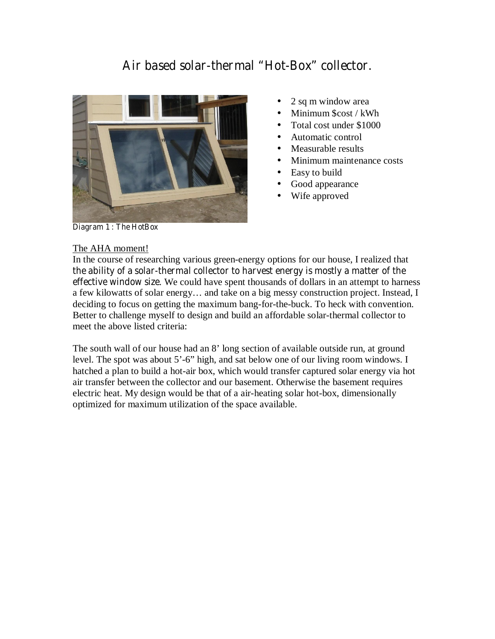# **Air based solar-thermal "Hot-Box" collector.**



- 2 sq m window area
- Minimum \$cost / kWh
- Total cost under \$1000
- Automatic control
- Measurable results
- Minimum maintenance costs
- Easy to build
- Good appearance
- Wife approved

**Diagram 1 : The HotBox** 

#### The AHA moment!

In the course of researching various green-energy options for our house, I realized that **the ability of a solar-thermal collector to harvest energy is mostly a matter of the effective window size**. We could have spent thousands of dollars in an attempt to harness a few kilowatts of solar energy… and take on a big messy construction project. Instead, I deciding to focus on getting the maximum bang-for-the-buck. To heck with convention. Better to challenge myself to design and build an affordable solar-thermal collector to meet the above listed criteria:

The south wall of our house had an 8' long section of available outside run, at ground level. The spot was about 5'-6" high, and sat below one of our living room windows. I hatched a plan to build a hot-air box, which would transfer captured solar energy via hot air transfer between the collector and our basement. Otherwise the basement requires electric heat. My design would be that of a air-heating solar hot-box, dimensionally optimized for maximum utilization of the space available.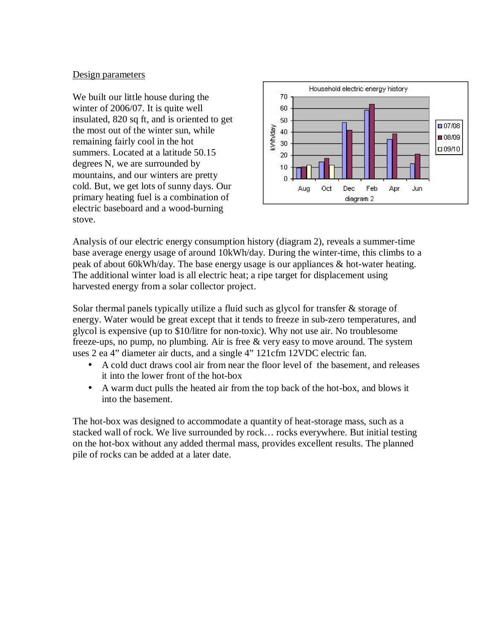### Design parameters

We built our little house during the winter of 2006/07. It is quite well insulated, 820 sq ft, and is oriented to get the most out of the winter sun, while remaining fairly cool in the hot summers. Located at a latitude 50.15 degrees N, we are surrounded by mountains, and our winters are pretty cold. But, we get lots of sunny days. Our primary heating fuel is a combination of electric baseboard and a wood-burning stove.



Analysis of our electric energy consumption history (diagram 2), reveals a summer-time base average energy usage of around 10kWh/day. During the winter-time, this climbs to a peak of about 60kWh/day. The base energy usage is our appliances & hot-water heating. The additional winter load is all electric heat; a ripe target for displacement using harvested energy from a solar collector project.

Solar thermal panels typically utilize a fluid such as glycol for transfer & storage of energy. Water would be great except that it tends to freeze in sub-zero temperatures, and glycol is expensive (up to \$10/litre for non-toxic). Why not use air. No troublesome freeze-ups, no pump, no plumbing. Air is free & very easy to move around. The system uses 2 ea 4" diameter air ducts, and a single 4" 121cfm 12VDC electric fan.

- A cold duct draws cool air from near the floor level of the basement, and releases it into the lower front of the hot-box
- A warm duct pulls the heated air from the top back of the hot-box, and blows it into the basement.

The hot-box was designed to accommodate a quantity of heat-storage mass, such as a stacked wall of rock. We live surrounded by rock… rocks everywhere. But initial testing on the hot-box without any added thermal mass, provides excellent results. The planned pile of rocks can be added at a later date.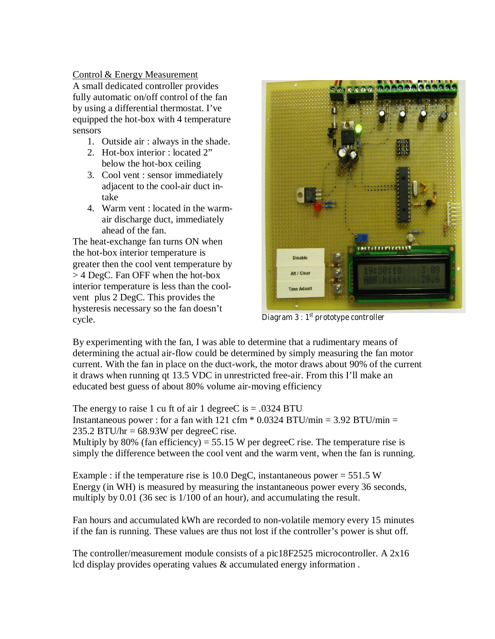Control & Energy Measurement A small dedicated controller provides fully automatic on/off control of the fan by using a differential thermostat. I've equipped the hot-box with 4 temperature sensors

- 1. Outside air : always in the shade.
- 2. Hot-box interior : located 2" below the hot-box ceiling
- 3. Cool vent : sensor immediately adjacent to the cool-air duct intake
- 4. Warm vent : located in the warmair discharge duct, immediately ahead of the fan.

The heat-exchange fan turns ON when the hot-box interior temperature is greater then the cool vent temperature by > 4 DegC. Fan OFF when the hot-box interior temperature is less than the coolvent plus 2 DegC. This provides the hysteresis necessary so the fan doesn't cycle. **Diagram 3 : 1st prototype controller**



By experimenting with the fan, I was able to determine that a rudimentary means of determining the actual air-flow could be determined by simply measuring the fan motor current. With the fan in place on the duct-work, the motor draws about 90% of the current it draws when running qt 13.5 VDC in unrestricted free-air. From this I'll make an educated best guess of about 80% volume air-moving efficiency

The energy to raise 1 cu ft of air 1 degree  $\overline{C}$  is = .0324 BTU Instantaneous power : for a fan with 121 cfm  $*$  0.0324 BTU/min = 3.92 BTU/min =  $235.2$  BTU/hr = 68.93W per degreeC rise.

Multiply by 80% (fan efficiency) = 55.15 W per degreeC rise. The temperature rise is simply the difference between the cool vent and the warm vent, when the fan is running.

Example : if the temperature rise is 10.0 DegC, instantaneous power =  $551.5 W$ Energy (in WH) is measured by measuring the instantaneous power every 36 seconds, multiply by 0.01 (36 sec is  $1/100$  of an hour), and accumulating the result.

Fan hours and accumulated kWh are recorded to non-volatile memory every 15 minutes if the fan is running. These values are thus not lost if the controller's power is shut off.

The controller/measurement module consists of a pic18F2525 microcontroller. A 2x16 lcd display provides operating values & accumulated energy information .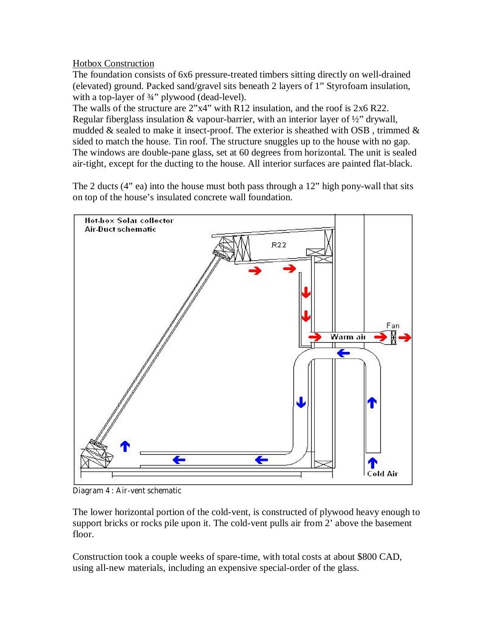## Hotbox Construction

The foundation consists of 6x6 pressure-treated timbers sitting directly on well-drained (elevated) ground. Packed sand/gravel sits beneath 2 layers of 1" Styrofoam insulation, with a top-layer of 3/4" plywood (dead-level).

The walls of the structure are 2"x4" with R12 insulation, and the roof is 2x6 R22. Regular fiberglass insulation & vapour-barrier, with an interior layer of ½" drywall, mudded & sealed to make it insect-proof. The exterior is sheathed with OSB, trimmed  $\&$ sided to match the house. Tin roof. The structure snuggles up to the house with no gap. The windows are double-pane glass, set at 60 degrees from horizontal. The unit is sealed air-tight, except for the ducting to the house. All interior surfaces are painted flat-black.

The 2 ducts (4" ea) into the house must both pass through a 12" high pony-wall that sits on top of the house's insulated concrete wall foundation.



**Diagram 4 : Air-vent schematic** 

The lower horizontal portion of the cold-vent, is constructed of plywood heavy enough to support bricks or rocks pile upon it. The cold-vent pulls air from 2' above the basement floor.

Construction took a couple weeks of spare-time, with total costs at about \$800 CAD, using all-new materials, including an expensive special-order of the glass.